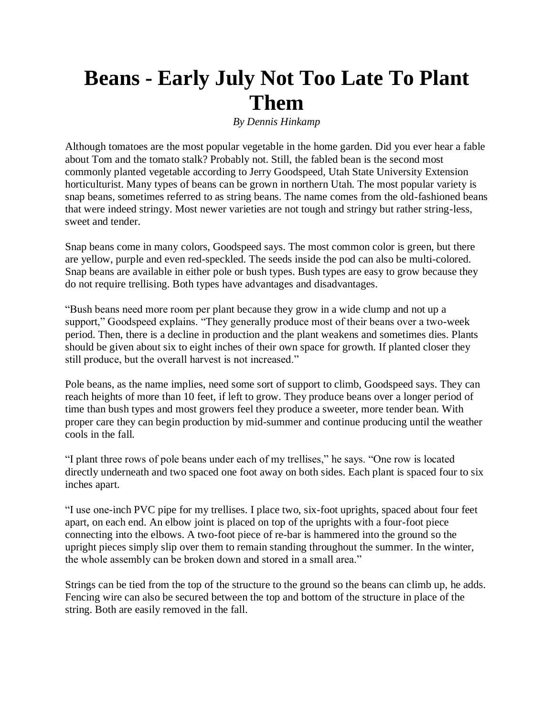## **Beans - Early July Not Too Late To Plant Them**

*By Dennis Hinkamp*

Although tomatoes are the most popular vegetable in the home garden. Did you ever hear a fable about Tom and the tomato stalk? Probably not. Still, the fabled bean is the second most commonly planted vegetable according to Jerry Goodspeed, Utah State University Extension horticulturist. Many types of beans can be grown in northern Utah. The most popular variety is snap beans, sometimes referred to as string beans. The name comes from the old-fashioned beans that were indeed stringy. Most newer varieties are not tough and stringy but rather string-less, sweet and tender.

Snap beans come in many colors, Goodspeed says. The most common color is green, but there are yellow, purple and even red-speckled. The seeds inside the pod can also be multi-colored. Snap beans are available in either pole or bush types. Bush types are easy to grow because they do not require trellising. Both types have advantages and disadvantages.

"Bush beans need more room per plant because they grow in a wide clump and not up a support," Goodspeed explains. "They generally produce most of their beans over a two-week period. Then, there is a decline in production and the plant weakens and sometimes dies. Plants should be given about six to eight inches of their own space for growth. If planted closer they still produce, but the overall harvest is not increased."

Pole beans, as the name implies, need some sort of support to climb, Goodspeed says. They can reach heights of more than 10 feet, if left to grow. They produce beans over a longer period of time than bush types and most growers feel they produce a sweeter, more tender bean. With proper care they can begin production by mid-summer and continue producing until the weather cools in the fall.

"I plant three rows of pole beans under each of my trellises," he says. "One row is located directly underneath and two spaced one foot away on both sides. Each plant is spaced four to six inches apart.

"I use one-inch PVC pipe for my trellises. I place two, six-foot uprights, spaced about four feet apart, on each end. An elbow joint is placed on top of the uprights with a four-foot piece connecting into the elbows. A two-foot piece of re-bar is hammered into the ground so the upright pieces simply slip over them to remain standing throughout the summer. In the winter, the whole assembly can be broken down and stored in a small area."

Strings can be tied from the top of the structure to the ground so the beans can climb up, he adds. Fencing wire can also be secured between the top and bottom of the structure in place of the string. Both are easily removed in the fall.